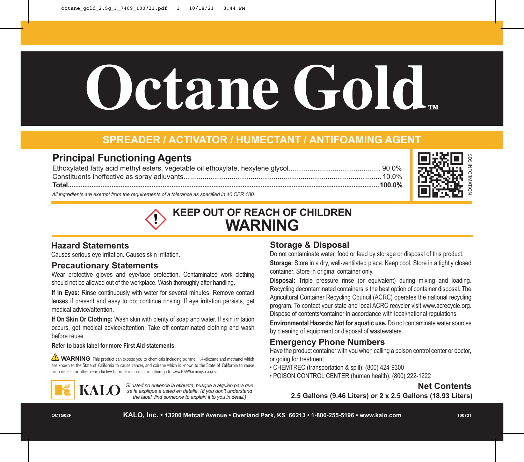# **Octane Gold™**

# **SPREADER / ACTIVATOR / HUMECTANT / ANTIFOAMING AGENT**

## **Principal Functioning Agents**

| All ingredients are exempt from the requirements of a tolerance as specified in 40 CFR 180. |  |
|---------------------------------------------------------------------------------------------|--|



# **KEEP OUT OF REACH OF CHILDREN WARNING**

### **Hazard Statements**

Causes serious eye irritation. Causes skin irritation.

### **Precautionary Statements**

Wear protective gloves and eye/face protection. Contaminated work clothing should not be allowed out of the workplace. Wash thoroughly after handling.

**If In Eyes:** Rinse continuously with water for several minutes. Remove contact lenses if present and easy to do; continue rinsing. If eye irritation persists, get medical advice/attention.

**If On Skin Or Clothing:** Wash skin with plenty of soap and water. If skin irritation occurs, get medical advice/attention. Take off contaminated clothing and wash before reuse.

### **Refer to back label for more First Aid statements.**

WARNING This product can expose you to chemicals including oxirane, 1,4-dioxane and methanol which are known to the State of California to cause cancer, and oxirane which is known to the State of California to cause birth defects or other reproductive harm. For more information go to www.P65Warnings.ca.gov.



*Si usted no entiende la etiqueta, busque a alguien para que se la explique a usted en detalle. (If you don't understand the label, find someone to explain it to you in detail.)*

### **Storage & Disposal**

Do not contaminate water, food or feed by storage or disposal of this product. **Storage:** Store in a dry, well-ventilated place. Keep cool. Store in a tightly closed container. Store in original container only.

**Disposal:** Triple pressure rinse (or equivalent) during mixing and loading. Recycling decontaminated containers is the best option of container disposal. The Agricultural Container Recycling Council (ACRC) operates the national recycling program. To contact your state and local ACRC recycler visit www.acrecycle.org. Dispose of contents/container in accordance with local/national regulations.

**Environmental Hazards: Not for aquatic use.** Do not contaminate water sources by cleaning of equipment or disposal of wastewaters.

### **Emergency Phone Numbers**

Have the product container with you when calling a poison control center or doctor, or going for treatment.

- CHEMTREC (transportation & spill): (800) 424-9300
- POISON CONTROL CENTER (human health): (800) 222-1222

### **Net Contents**

**2.5 Gallons (9.46 Liters) or 2 x 2.5 Gallons (18.93 Liters)**

**OCTG02F**